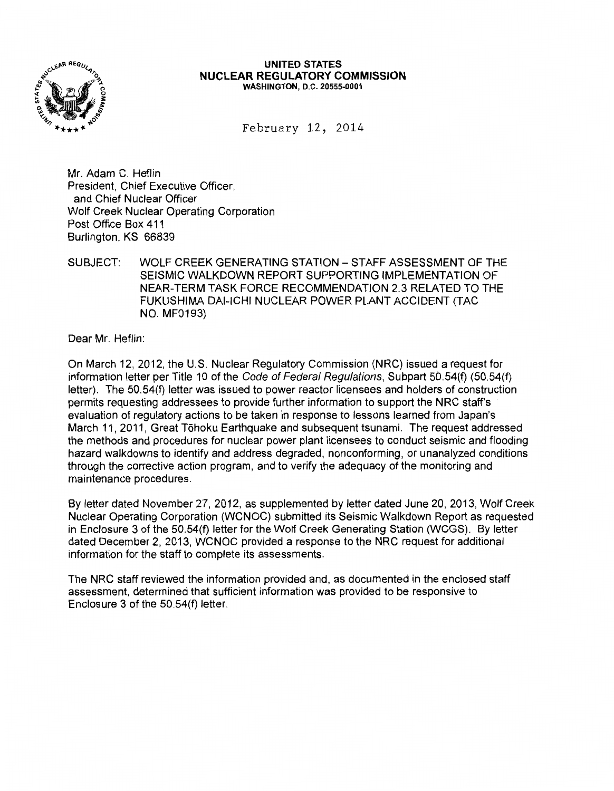

#### **UNITED STATES NUCLEAR REGULATORY COMMISSION**  WASHINGTON, D.C. 20555-0001

February 12, 2014

Mr. Adam C. Heflin President, Chief Executive Officer, and Chief Nuclear Officer Wolf Creek Nuclear Operating Corporation Post Office Box 411 Burlington, KS 66839

SUBJECT: WOLF CREEK GENERATING STATION- STAFF ASSESSMENT OF THE SEISMIC WALKDOWN REPORT SUPPORTING IMPLEMENTATION OF NEAR-TERM TASK FORCE RECOMMENDATION 2.3 RELATED TO THE FUKUSHIMA DAI-ICHI NUCLEAR POWER PLANT ACCIDENT (TAC NO. MF0193)

Dear Mr. Heflin:

On March 12, 2012, the U.S. Nuclear Regulatory Commission (NRC) issued a request for information letter per Title 10 of the Code of Federal Regulations, Subpart 50.54(f) (50.54(f) letter). The 50.54(f) letter was issued to power reactor licensees and holders of construction permits requesting addressees to provide further information to support the NRC staff's evaluation of regulatory actions to be taken in response to lessons learned from Japan's March 11, 2011, Great Tohoku Earthquake and subsequent tsunami. The request addressed the methods and procedures for nuclear power plant licensees to conduct seismic and flooding hazard walkdowns to identify and address degraded, nonconforming, or unanalyzed conditions through the corrective action program, and to verify the adequacy of the monitoring and maintenance procedures.

By letter dated November 27, 2012, as supplemented by letter dated June 20,2013, Wolf Creek Nuclear Operating Corporation (WCNOC) submitted its Seismic Walkdown Report as requested in Enclosure 3 of the 50.54(f) letter for the Wolf Creek Generating Station (WCGS). By letter dated December 2, 2013, WCNOC provided a response to the NRC request for additional information for the staff to complete its assessments.

The NRC staff reviewed the information provided and, as documented in the enclosed staff assessment, determined that sufficient information was provided to be responsive to Enclosure 3 of the 50.54(f) letter.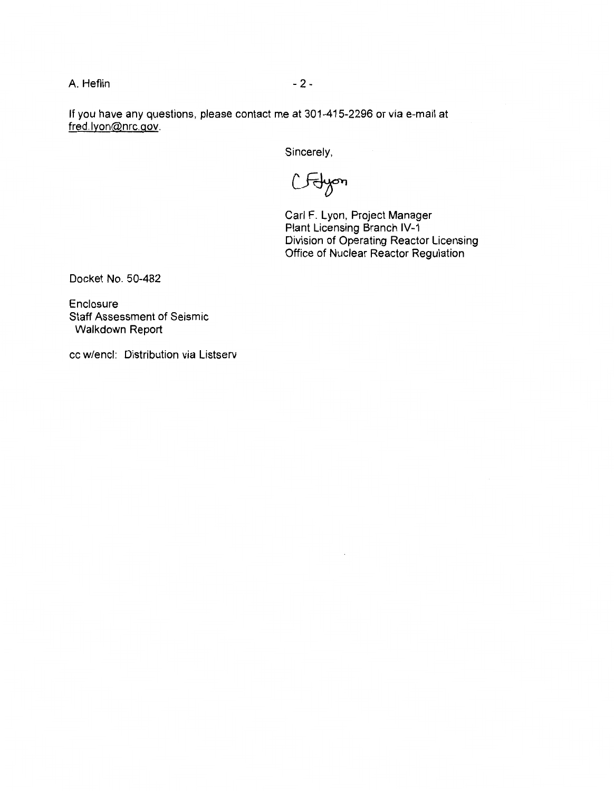A. Heflin - 2 -

If you have any questions, please contact me at 301-415-2296 or via e-mail at fred lyon@nrc.gov.

Sincerely,

CFdyon

Carl F. Lyon, Project Manager Plant Licensing Branch IV-1 Division of Operating Reactor Licensing Office of Nuclear Reactor Regulation

Docket No. 50-482

Enclosure Staff Assessment of Seismic Walkdown Report

cc w/encl: Distribution via Listserv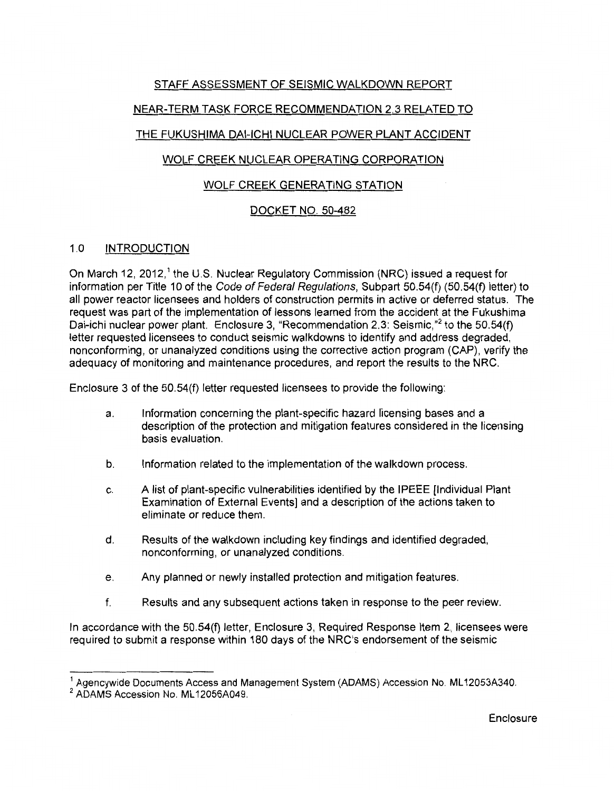# STAFF ASSESSMENT OF SEISMIC WALKDOWN REPORT

# NEAR-TERM TASK FORCE RECOMMENDATION 2.3 RELATED TO

## THE FUKUSHIMA DAI-ICHI NUCLEAR POWER PLANT ACCIDENT

# WOLF CREEK NUCLEAR OPERATING CORPORATION

## WOLF CREEK GENERATING STATION

## DOCKET NO. 50-482

## 1.0 INTRODUCTION

On March 12, 2012,<sup>1</sup> the U.S. Nuclear Regulatory Commission (NRC) issued a request for information per Title 10 of the Code of Federal Regulations, Subpart 50.54(f) (50.54(f) letter) to all power reactor licensees and holders of construction permits in active or deferred status. The request was part of the implementation of lessons learned from the accident at the Fukushima Dai-ichi nuclear power plant. Enclosure 3, "Recommendation 2.3: Seismic,"<sup>2</sup> to the 50.54(f) letter requested licensees to conduct seismic walkdowns to identify and address degraded, nonconforming, or unanalyzed conditions using the corrective action program (CAP), verify the adequacy of monitoring and maintenance procedures, and report the results to the NRC.

Enclosure 3 of the 50.54(f) letter requested licensees to provide the following:

- a. Information concerning the plant-specific hazard licensing bases and a description of the protection and mitigation features considered in the licensing basis evaluation.
- b. Information related to the implementation of the walkdown process.
- c. A list of plant-specific vulnerabilities identified by the IPEEE [Individual Plant Examination of External Events] and a description of the actions taken to eliminate or reduce them.
- d. Results of the walkdown including key findings and identified degraded, nonconforming, or unanalyzed conditions.
- e. Any planned or newly installed protection and mitigation features.
- f. Results and any subsequent actions taken in response to the peer review.

In accordance with the 50.54(f) letter, Enclosure 3, Required Response Item 2, licensees were required to submit a response within 180 days of the NRC's endorsement of the seismic

<sup>&</sup>lt;sup>1</sup> Agencywide Documents Access and Management System (ADAMS) Accession No. ML12053A340.

<sup>&</sup>lt;sup>2</sup> ADAMS Accession No. ML12056A049.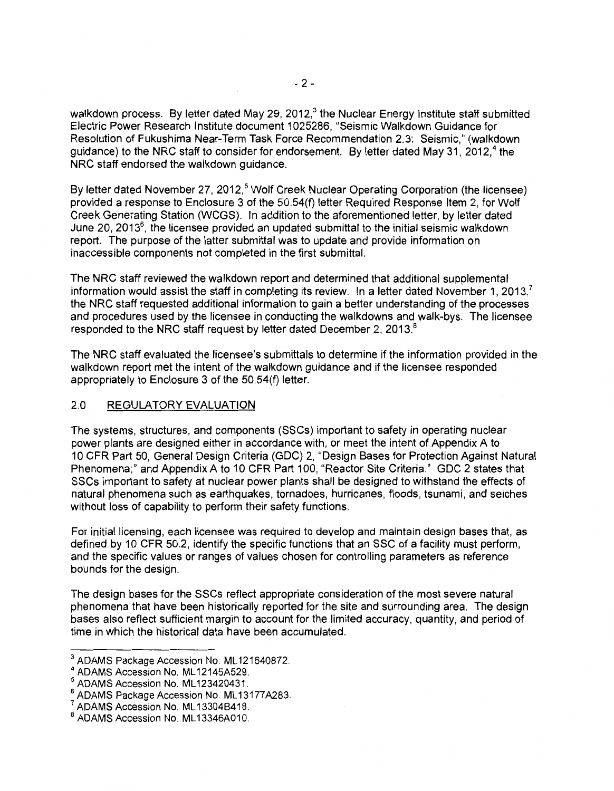walkdown process. By letter dated May 29, 2012,<sup>3</sup> the Nuclear Energy Institute staff submitted Electric Power Research Institute document 1025286, "Seismic Walkdown Guidance for Resolution of Fukushima Near-Term Task Force Recommendation 2.3: Seismic," (walkdown guidance) to the NRC staff to consider for endorsement. By letter dated May 31, 2012.<sup>4</sup> the NRC staff endorsed the walkdown guidance.

By letter dated November 27, 2012,<sup>5</sup> Wolf Creek Nuclear Operating Corporation (the licensee) provided a response to Enclosure 3 of the 50.54(f) letter Required Response Item 2, for Wolf Creek Generating Station (WCGS). In addition to the aforementioned letter, by letter dated June 20, 2013 $^6$ , the licensee provided an updated submittal to the initial seismic walkdown report. The purpose of the latter submittal was to update and provide information on inaccessible components not completed in the first submittal.

The NRC staff reviewed the walkdown report and determined that additional supplemental information would assist the staff in completing its review. In a letter dated November 1, 2013,<sup> $\prime$ </sup> the NRC staff requested additional information to gain a better understanding of the processes and procedures used by the licensee in conducting the walkdowns and walk-bys. The licensee responded to the NRC staff request by letter dated December 2, 2013.<sup>8</sup>

The NRC staff evaluated the licensee's submittals to determine if the information provided in the walkdown report met the intent of the walk down guidance and if the licensee responded appropriately to Enclosure 3 of the 50.54(f) letter.

#### 2.0 REGULATORY EVALUATION

The systems, structures, and components (SSCs) important to safety in operating nuclear power plants are designed either in accordance with, or meet the intent of Appendix A to 10 CFR Part 50, General Design Criteria (GDC) 2, "Design Bases for Protection Against Natural Phenomena;" and Appendix A to 10 CFR Part 100, "Reactor Site Criteria." GDC 2 states that SSCs important to safety at nuclear power plants shall be designed to withstand the effects of natural phenomena such as earthquakes, tornadoes, hurricanes, floods, tsunami, and seiches without loss of capability to perform their safety functions.

For initial licensing, each licensee was required to develop and maintain design bases that, as defined by 10 CFR 50.2, identify the specific functions that an SSC of a facility must perform, and the specific values or ranges of values chosen for controlling parameters as reference bounds for the design.

The design bases for the SSCs reflect appropriate consideration of the most severe natural phenomena that have been historically reported for the site and surrounding area. The design bases also reflect sufficient margin to account for the limited accuracy, quantity, and period of time in which the historical data have been accumulated.

 $^3$  ADAMS Package Accession No. ML121640872.<br> $^4$  ADAMS Accession No. ML12145A529.

<sup>5</sup>ADAMS Accession No. ML 123420431.

ADAMS Package Accession No. ML13177A283.

ADAMS Accession No. ML13304B418.

<sup>8</sup> ADAMS Accession No. ML13346A010.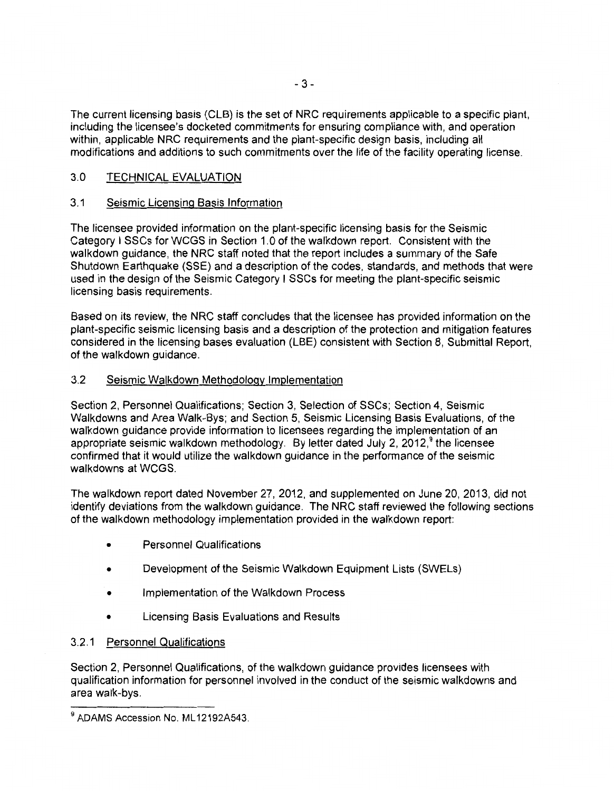The current licensing basis (CLB) is the set of NRC requirements applicable to a specific plant, including the licensee's docketed commitments for ensuring compliance with, and operation within, applicable NRC requirements and the plant-specific design basis, including all modifications and additions to such commitments over the life of the facility operating license.

## 3.0 TECHNICAL EVALUATION

### 3.1 Seismic Licensing Basis Information

The licensee provided information on the plant-specific licensing basis for the Seismic Category I SSCs for WCGS in Section 1.0 of the walkdown report. Consistent with the walkdown guidance, the NRC staff noted that the report includes a summary of the Safe Shutdown Earthquake (SSE) and a description of the codes, standards, and methods that were used in the design of the Seismic Category I SSCs for meeting the plant-specific seismic licensing basis requirements.

Based on its review, the NRC staff concludes that the licensee has provided information on the plant-specific seismic licensing basis and a description of the protection and mitigation features considered in the licensing bases evaluation (LBE) consistent with Section 8, Submittal Report, of the walkdown guidance.

### 3.2 Seismic Walkdown Methodology Implementation

Section 2, Personnel Qualifications; Section 3, Selection of SSCs; Section 4, Seismic Walkdowns and Area Walk-Bys; and Section 5, Seismic Licensing Basis Evaluations, of the walkdown guidance provide information to licensees regarding the implementation of an appropriate seismic walkdown methodology. By letter dated July 2,  $2012<sup>9</sup>$  the licensee confirmed that it would utilize the walkdown guidance in the performance of the seismic walkdowns at WCGS.

The walkdown report dated November 27, 2012, and supplemented on June 20, 2013, did not identify deviations from the walkdown guidance. The NRC staff reviewed the following sections of the walkdown methodology implementation provided in the walkdown report:

- Personnel Qualifications
- Development of the Seismic Walkdown Equipment Lists (SWELs)
- Implementation of the Walkdown Process
- Licensing Basis Evaluations and Results

### 3.2.1 Personnel Qualifications

Section 2, Personnel Qualifications, of the walkdown guidance provides licensees with qualification information for personnel involved in the conduct of the seismic walkdowns and area walk-bys.

<sup>&</sup>lt;sup>9</sup> ADAMS Accession No. ML12192A543.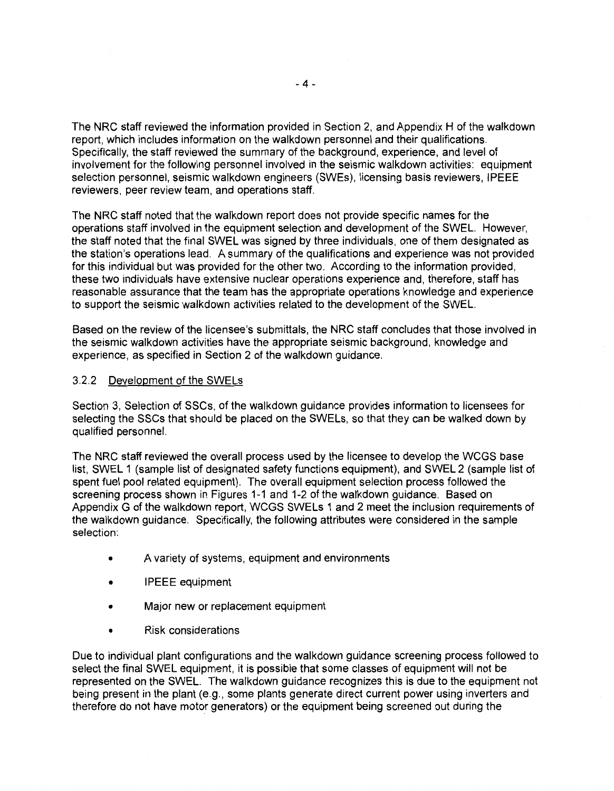The NRC staff reviewed the information provided in Section 2, and Appendix H of the walkdown report, which includes information on the walkdown personnel and their qualifications. Specifically, the staff reviewed the summary of the background, experience, and level of involvement for the following personnel involved in the seismic walkdown activities: equipment selection personnel, seismic walkdown engineers (SWEs), licensing basis reviewers, IPEEE reviewers, peer review team, and operations staff.

The NRC staff noted that the walkdown report does not provide specific names for the operations staff involved in the equipment selection and development of the SWEL. However, the staff noted that the final SWEL was signed by three individuals, one of them designated as the station's operations lead. A summary of the qualifications and experience was not provided for this individual but was provided for the other two. According to the information provided, these two individuals have extensive nuclear operations experience and, therefore, staff has reasonable assurance that the team has the appropriate operations knowledge and experience to support the seismic walkdown activities related to the development of the SWEL.

Based on the review of the licensee's submittals, the NRC staff concludes that those involved in the seismic walkdown activities have the appropriate seismic background, knowledge and experience, as specified in Section 2 of the walkdown guidance.

#### 3.2.2 Development of the SWELs

Section 3, Selection of SSCs, of the walkdown guidance provides information to licensees for selecting the SSCs that should be placed on the SWELs, so that they can be walked down by qualified personnel.

The NRC staff reviewed the overall process used by the licensee to develop the WCGS base list, SWEL 1 (sample list of designated safety functions equipment), and SWEL 2 (sample list of spent fuel pool related equipment). The overall equipment selection process followed the screening process shown in Figures 1-1 and 1-2 of the walkdown guidance. Based on Appendix G of the walkdown report, WCGS SWELs 1 and 2 meet the inclusion requirements of the walkdown guidance. Specifically, the following attributes were considered in the sample selection:

- A variety of systems, equipment and environments
- IPEEE equipment
- Major new or replacement equipment
- Risk considerations

Due to individual plant configurations and the walkdown guidance screening process followed to select the final SWEL equipment, it is possible that some classes of equipment will not be represented on the SWEL. The walkdown guidance recognizes this is due to the equipment not being present in the plant (e.g., some plants generate direct current power using inverters and therefore do not have motor generators) or the equipment being screened out during the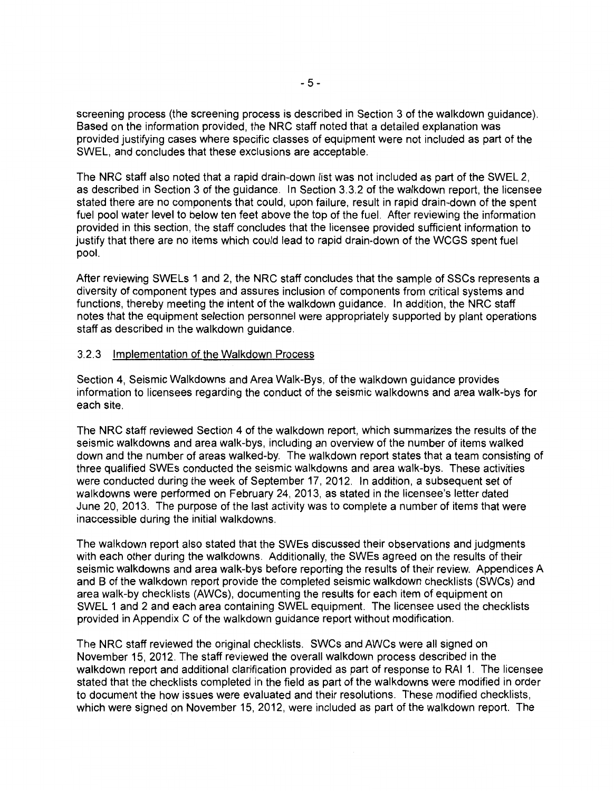screening process (the screening process is described in Section 3 of the walkdown guidance). Based on the information provided, the NRC staff noted that a detailed explanation was provided justifying cases where specific classes of equipment were not included as part of the SWEL, and concludes that these exclusions are acceptable.

The NRC staff also noted that a rapid drain-down list was not included as part of the SWEL 2, as described in Section 3 of the guidance. In Section 3.3.2 of the walkdown report, the licensee stated there are no components that could, upon failure, result in rapid drain-down of the spent fuel pool water level to below ten feet above the top of the fuel. After reviewing the information provided in this section, the staff concludes that the licensee provided sufficient information to justify that there are no items which could lead to rapid drain-down of the WCGS spent fuel pool.

After reviewing SWELs 1 and 2, the NRC staff concludes that the sample of SSCs represents a diversity of component types and assures inclusion of components from critical systems and functions, thereby meeting the intent of the walkdown guidance. In addition, the NRC staff notes that the equipment selection personnel were appropriately supported by plant operations staff as described in the walkdown guidance.

#### 3.2.3 Implementation of the Walkdown Process

Section 4, Seismic Walkdowns and Area Walk-Bys, of the walkdown guidance provides information to licensees regarding the conduct of the seismic walkdowns and area walk-bys for each site.

The NRC staff reviewed Section 4 of the walkdown report, which summarizes the results of the seismic walkdowns and area walk-bys, including an overview of the number of items walked down and the number of areas walked-by. The walkdown report states that a team consisting of three qualified SWEs conducted the seismic walkdowns and area walk-bys. These activities were conducted during the week of September 17, 2012. In addition, a subsequent set of walkdowns were performed on February 24, 2013, as stated in the licensee's letter dated June 20, 2013. The purpose of the last activity was to complete a number of items that were inaccessible during the initial walkdowns.

The walkdown report also stated that the SWEs discussed their observations and judgments with each other during the walkdowns. Additionally, the SWEs agreed on the results of their seismic walkdowns and area walk-bys before reporting the results of their review. Appendices A and B of the walkdown report provide the completed seismic walkdown checklists (SWCs) and area walk-by checklists (AWCs), documenting the results for each item of equipment on SWEL 1 and 2 and each area containing SWEL equipment. The licensee used the checklists provided in Appendix C of the walkdown guidance report without modification.

The NRC staff reviewed the original checklists. SWCs and AWCs were all signed on November 15, 2012. The staff reviewed the overall walkdown process described in the walkdown report and additional clarification provided as part of response to RAI 1. The licensee stated that the checklists completed in the field as part of the walkdowns were modified in order to document the how issues were evaluated and their resolutions. These modified checklists, which were signed on November 15, 2012, were included as part of the walkdown report. The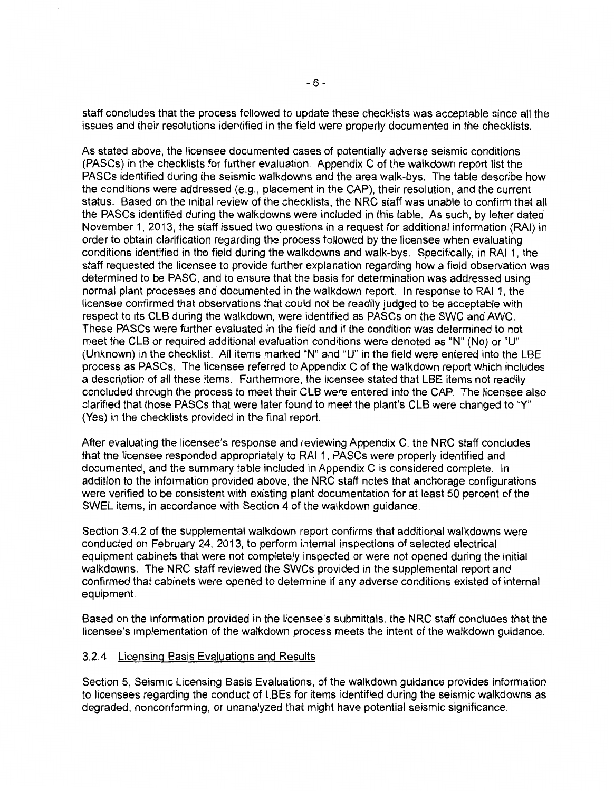staff concludes that the process followed to update these checklists was acceptable since all the issues and their resolutions identified in the field were properly documented in the checklists.

As stated above, the licensee documented cases of potentially adverse seismic conditions (PASCs) in the checklists for further evaluation. Appendix C of the walkdown report list the PASCs identified during the seismic walkdowns and the area walk-bys. The table describe how the conditions were addressed (e.g., placement in the CAP), their resolution, and the current status. Based on the initial review of the checklists, the NRC staff was unable to confirm that all the PASCs identified during the walkdowns were included in this table. As such, by letter dated November 1, 2013, the staff issued two questions in a request for additional information (RAI) in order to obtain clarification regarding the process followed by the licensee when evaluating conditions identified in the field during the walkdowns and walk-bys. Specifically, in RAI 1, the staff requested the licensee to provide further explanation regarding how a field observation was determined to be PASC, and to ensure that the basis for determination was addressed using normal plant processes and documented in the walkdown report. In response to RAI 1, the licensee confirmed that observations that could not be readily judged to be acceptable with respect to its CLB during the walkdown, were identified as PASCs on the SWC and AWC. These PASCs were further evaluated in the field and if the condition was determined to not meet the CLB or required additional evaluation conditions were denoted as "N" (No) or "U" (Unknown) in the checklist. All items marked "N" and "U" in the field were entered into the LBE process as PASCs. The licensee referred to Appendix C of the walkdown report which includes a description of all these items. Furthermore, the licensee stated that LBE items not readily concluded through the process to meet their CLB were entered into the CAP. The licensee also clarified that those PASCs that were later found to meet the plant's CLB were changed to "Y" (Yes) in the checklists provided in the final report.

After evaluating the licensee's response and reviewing Appendix C, the NRC staff concludes that the licensee responded appropriately to RAI 1, PASCs were properly identified and documented, and the summary table included in Appendix C is considered complete. In addition to the information provided above, the NRC staff notes that anchorage configurations were verified to be consistent with existing plant documentation for at least 50 percent of the SWEL items, in accordance with Section 4 of the walkdown guidance.

Section 3.4.2 of the supplemental walkdown report confirms that additional walkdowns were conducted on February 24, 2013, to perform internal inspections of selected electrical equipment cabinets that were not completely inspected or were not opened during the initial walkdowns. The NRC staff reviewed the SWCs provided in the supplemental report and confirmed that cabinets were opened to determine if any adverse conditions existed of internal equipment.

Based on the information provided in the licensee's submittals, the NRC staff concludes that the licensee's implementation of the walkdown process meets the intent of the walkdown guidance.

#### 3.2.4 Licensing Basis Evaluations and Results

Section 5, Seismic Licensing Basis Evaluations, of the walkdown guidance provides information to licensees regarding the conduct of LBEs for items identified during the seismic walkdowns as degraded, nonconforming, or unanalyzed that might have potential seismic significance.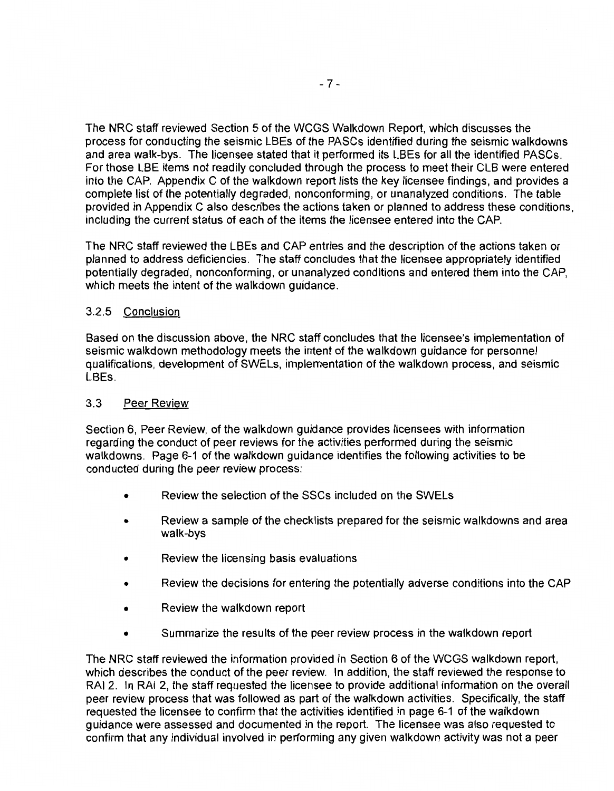The NRC staff reviewed Section 5 of the WCGS Walkdown Report, which discusses the process for conducting the seismic LBEs of the PASCs identified during the seismic walkdowns and area walk-bys. The licensee stated that it performed its LBEs for all the identified PASCs. For those LBE items not readily concluded through the process to meet their CLB were entered into the CAP. Appendix C of the walkdown report lists the key licensee findings, and provides a complete list of the potentially degraded, nonconforming, or unanalyzed conditions. The table provided in Appendix C also describes the actions taken or planned to address these conditions, including the current status of each of the items the licensee entered into the CAP.

The NRC staff reviewed the LBEs and CAP entries and the description of the actions taken or planned to address deficiencies. The staff concludes that the licensee appropriately identified potentially degraded, nonconforming, or unanalyzed conditions and entered them into the CAP, which meets the intent of the walkdown guidance.

## 3.2.5 Conclusion

Based on the discussion above, the NRC staff concludes that the licensee's implementation of seismic walkdown methodology meets the intent of the walkdown guidance for personnel qualifications, development of SWELs, implementation of the walkdown process, and seismic LBEs.

### 3.3 Peer Review

Section 6, Peer Review, of the walkdown guidance provides licensees with information regarding the conduct of peer reviews for the activities performed during the seismic walkdowns. Page 6-1 of the walkdown guidance identifies the following activities to be conducted during the peer review process:

- Review the selection of the SSCs included on the SWELs
- Review a sample of the checklists prepared for the seismic walkdowns and area walk-bys
- Review the licensing basis evaluations
- Review the decisions for entering the potentially adverse conditions into the CAP
- Review the walkdown report
- Summarize the results of the peer review process in the walkdown report

The NRC staff reviewed the information provided in Section 6 of the WCGS walkdown report, which describes the conduct of the peer review. In addition, the staff reviewed the response to RAI 2. In RAI 2, the staff requested the licensee to provide additional information on the overall peer review process that was followed as part of the walkdown activities. Specifically, the staff requested the licensee to confirm that the activities identified in page 6-1 of the walkdown guidance were assessed and documented in the report. The licensee was also requested to confirm that any individual involved in performing any given walkdown activity was not a peer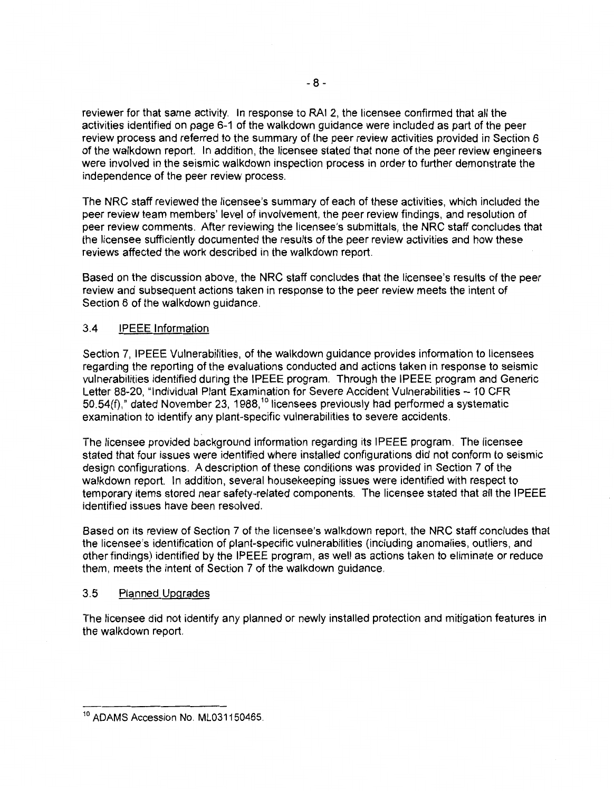reviewer for that same activity. In response to RAI 2, the licensee confirmed that all the activities identified on page 6-1 of the walkdown guidance were included as part of the peer review process and referred to the summary of the peer review activities provided in Section 6 of the walkdown report. In addition, the licensee stated that none of the peer review engineers were involved in the seismic walkdown inspection process in order to further demonstrate the independence of the peer review process.

The NRC staff reviewed the licensee's summary of each of these activities, which included the peer review team members' level of involvement, the peer review findings, and resolution of peer review comments. After reviewing the licensee's submittals, the NRC staff concludes that the licensee sufficiently documented the results of the peer review activities and how these reviews affected the work described in the walkdown report.

Based on the discussion above, the NRC staff concludes that the licensee's results of the peer review and subsequent actions taken in response to the peer review meets the intent of Section 6 of the walkdown guidance.

### 3.4 IPEEE Information

Section 7, IPEEE Vulnerabilities, of the walkdown guidance provides information to licensees regarding the reporting of the evaluations conducted and actions taken in response to seismic vulnerabilities identified during the IPEEE program. Through the IPEEE program and Generic Letter 88-20, "Individual Plant Examination for Severe Accident Vulnerabilities- 10 CFR  $50.54(f)$ ," dated November 23, 1988,<sup>10</sup> licensees previously had performed a systematic examination to identify any plant-specific vulnerabilities to severe accidents.

The licensee provided background information regarding its IPEEE program. The licensee stated that four issues were identified where installed configurations did not conform to seismic design configurations. A description of these conditions was provided in Section 7 of the walkdown report. In addition, several housekeeping issues were identified with respect to temporary items stored near safety-related components. The licensee stated that all the IPEEE identified issues have been resolved.

Based on its review of Section 7 of the licensee's walkdown report, the NRC staff concludes that the licensee's identification of plant-specific vulnerabilities (including anomalies, outliers, and other findings) identified by the IPEEE program, as well as actions taken to eliminate or reduce them, meets the intent of Section 7 of the walkdown guidance.

#### 3.5 Planned Upgrades

The licensee did not identify any planned or newly installed protection and mitigation features in the walkdown report.

<sup>&</sup>lt;sup>10</sup> ADAMS Accession No. ML031150465.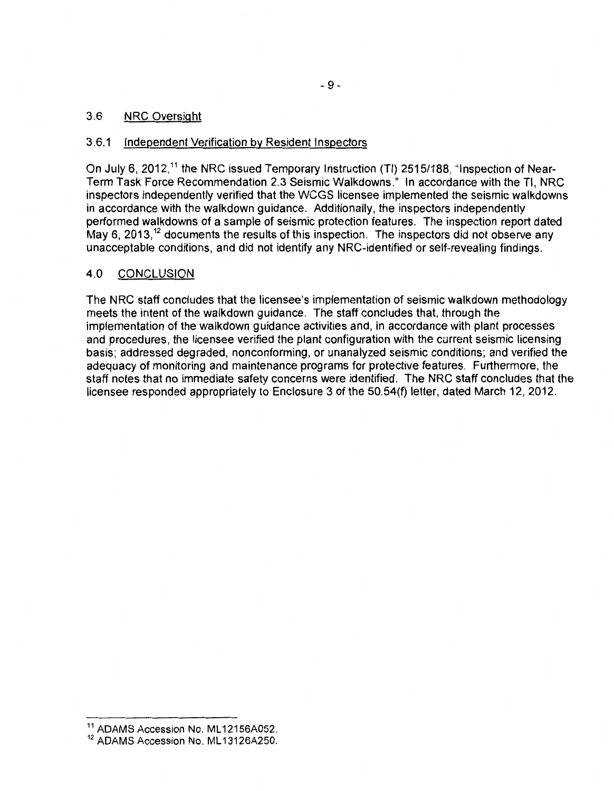### 3.6 NRC Oversight

#### 3.6.1 Independent Verification by Resident Inspectors

On July 6, 2012,<sup>11</sup> the NRC issued Temporary Instruction (TI) 2515/188, "Inspection of Near-Term Task Force Recommendation 2.3 Seismic Walkdowns." In accordance with the Tl, NRC inspectors independently verified that the WCGS licensee implemented the seismic walkdowns in accordance with the walkdown guidance. Additionally, the inspectors independently performed walkdowns of a sample of seismic protection features. The inspection report dated May 6, 2013,  $12$  documents the results of this inspection. The inspectors did not observe any unacceptable conditions, and did not identify any NRC-identified or self-revealing findings.

## 4.0 CONCLUSION

The NRC staff concludes that the licensee's implementation of seismic walkdown methodology meets the intent of the walkdown guidance. The staff concludes that, through the implementation of the walkdown guidance activities and, in accordance with plant processes and procedures, the licensee verified the plant configuration with the current seismic licensing basis; addressed degraded, nonconforming, or unanalyzed seismic conditions; and verified the adequacy of monitoring and maintenance programs for protective features. Furthermore, the staff notes that no immediate safety concerns were identified. The NRC staff concludes that the licensee responded appropriately to Enclosure 3 of the 50.54(f) letter, dated March 12, 2012.

<sup>&</sup>lt;sup>11</sup> ADAMS Accession No. ML12156A052.

<sup>&</sup>lt;sup>12</sup> ADAMS Accession No. ML13126A250.